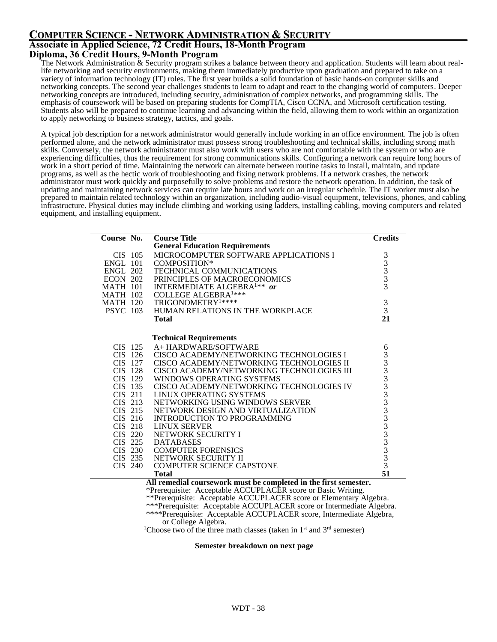## **COMPUTER SCIENCE - NETWORK ADMINISTRATION & SECURITY**

## **Associate in Applied Science, 72 Credit Hours, 18-Month Program Diploma, 36 Credit Hours, 9-Month Program**

The Network Administration & Security program strikes a balance between theory and application. Students will learn about reallife networking and security environments, making them immediately productive upon graduation and prepared to take on a variety of information technology (IT) roles. The first year builds a solid foundation of basic hands-on computer skills and networking concepts. The second year challenges students to learn to adapt and react to the changing world of computers. Deeper networking concepts are introduced, including security, administration of complex networks, and programming skills. The emphasis of coursework will be based on preparing students for CompTIA, Cisco CCNA, and Microsoft certification testing. Students also will be prepared to continue learning and advancing within the field, allowing them to work within an organization to apply networking to business strategy, tactics, and goals.

A typical job description for a network administrator would generally include working in an office environment. The job is often performed alone, and the network administrator must possess strong troubleshooting and technical skills, including strong math skills. Conversely, the network administrator must also work with users who are not comfortable with the system or who are experiencing difficulties, thus the requirement for strong communications skills. Configuring a network can require long hours of work in a short period of time. Maintaining the network can alternate between routine tasks to install, maintain, and update programs, as well as the hectic work of troubleshooting and fixing network problems. If a network crashes, the network administrator must work quickly and purposefully to solve problems and restore the network operation. In addition, the task of updating and maintaining network services can require late hours and work on an irregular schedule. The IT worker must also be prepared to maintain related technology within an organization, including audio-visual equipment, televisions, phones, and cabling infrastructure. Physical duties may include climbing and working using ladders, installing cabling, moving computers and related equipment, and installing equipment.

| Course No.      |           | <b>Course Title</b>                                                                       | <b>Credits</b>                                    |
|-----------------|-----------|-------------------------------------------------------------------------------------------|---------------------------------------------------|
|                 |           | <b>General Education Requirements</b>                                                     |                                                   |
| CIS 105         |           | MICROCOMPUTER SOFTWARE APPLICATIONS I                                                     |                                                   |
| ENGL 101        |           | COMPOSITION*                                                                              | $\begin{array}{c}\n3 \\ 3 \\ 3 \\ 3\n\end{array}$ |
| <b>ENGL 202</b> |           | <b>TECHNICAL COMMUNICATIONS</b>                                                           |                                                   |
| <b>ECON 202</b> |           | PRINCIPLES OF MACROECONOMICS                                                              |                                                   |
| <b>MATH 101</b> |           | INTERMEDIATE ALGEBRA <sup>1**</sup> or                                                    |                                                   |
| <b>MATH 102</b> |           | <b>COLLEGE ALGEBRA</b> <sup>1***</sup>                                                    |                                                   |
| <b>MATH 120</b> |           | TRIGONOMETRY <sup>1****</sup>                                                             | $\frac{3}{3}$                                     |
| <b>PSYC</b> 103 |           | HUMAN RELATIONS IN THE WORKPLACE                                                          |                                                   |
|                 |           | <b>Total</b>                                                                              | 21                                                |
|                 |           |                                                                                           |                                                   |
|                 |           | <b>Technical Requirements</b>                                                             |                                                   |
|                 | CIS 125   | A+ HARDWARE/SOFTWARE                                                                      |                                                   |
|                 | CIS 126   | CISCO ACADEMY/NETWORKING TECHNOLOGIES I                                                   |                                                   |
|                 | CIS 127   | CISCO ACADEMY/NETWORKING TECHNOLOGIES II                                                  |                                                   |
|                 | CIS 128   | CISCO ACADEMY/NETWORKING TECHNOLOGIES III                                                 |                                                   |
|                 | CIS 129   | WINDOWS OPERATING SYSTEMS                                                                 |                                                   |
|                 | CIS 135   | CISCO ACADEMY/NETWORKING TECHNOLOGIES IV                                                  |                                                   |
|                 | CIS 211   | LINUX OPERATING SYSTEMS                                                                   |                                                   |
|                 | CIS 213   | NETWORKING USING WINDOWS SERVER                                                           |                                                   |
|                 | CIS 215   | NETWORK DESIGN AND VIRTUALIZATION                                                         |                                                   |
|                 | $CIS$ 216 | INTRODUCTION TO PROGRAMMING                                                               |                                                   |
|                 | CIS 218   | <b>LINUX SERVER</b>                                                                       |                                                   |
|                 | CIS 220   | NETWORK SECURITY I                                                                        |                                                   |
|                 | CIS 225   | <b>DATABASES</b>                                                                          |                                                   |
|                 |           | CIS 230 COMPUTER FORENSICS                                                                |                                                   |
|                 |           | CIS 235 NETWORK SECURITY II                                                               |                                                   |
|                 | CIS 240   | <b>COMPUTER SCIENCE CAPSTONE</b>                                                          |                                                   |
|                 |           | <b>Total</b><br>All recording corresponding more that corresponds in the Crust correction | 51                                                |

**All remedial coursework must be completed in the first semester.**

\*Prerequisite: Acceptable ACCUPLACER score or Basic Writing.

\*\*Prerequisite: Acceptable ACCUPLACER score or Elementary Algebra.

\*\*\*Prerequisite: Acceptable ACCUPLACER score or Intermediate Algebra. \*\*\*\*Prerequisite: Acceptable ACCUPLACER score, Intermediate Algebra,

or College Algebra.

<sup>1</sup>Choose two of the three math classes (taken in  $1<sup>st</sup>$  and  $3<sup>rd</sup>$  semester)

**Semester breakdown on next page**